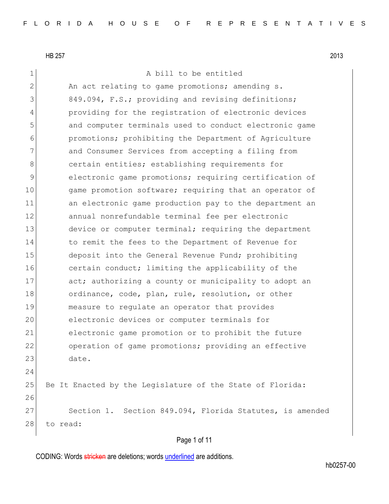1 a bill to be entitled

2 An act relating to game promotions; amending s. 3 849.094, F.S.; providing and revising definitions; 4 providing for the registration of electronic devices 5 and computer terminals used to conduct electronic game 6 promotions; prohibiting the Department of Agriculture 7 and Consumer Services from accepting a filing from 8 8 certain entities; establishing requirements for 9 electronic game promotions; requiring certification of 10 game promotion software; requiring that an operator of 11 an electronic game production pay to the department an 12 annual nonrefundable terminal fee per electronic 13 device or computer terminal; requiring the department 14 to remit the fees to the Department of Revenue for 15 deposit into the General Revenue Fund; prohibiting 16 certain conduct; limiting the applicability of the 17 act; authorizing a county or municipality to adopt an 18 ordinance, code, plan, rule, resolution, or other 19 measure to regulate an operator that provides 20 electronic devices or computer terminals for 21 electronic game promotion or to prohibit the future 22 operation of game promotions; providing an effective 23 date. 24 25 Be It Enacted by the Legislature of the State of Florida: 26 27 Section 1. Section 849.094, Florida Statutes, is amended 28 to read:

### Page 1 of 11

CODING: Words stricken are deletions; words underlined are additions.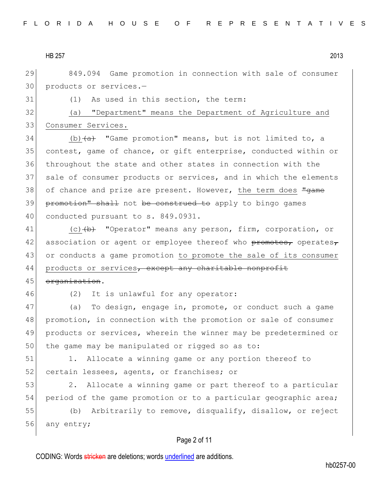29 849.094 Game promotion in connection with sale of consumer 30 products or services.-

31 (1) As used in this section, the term:

32 (a) "Department" means the Department of Agriculture and 33 Consumer Services.

34 (b) $\leftarrow$  "Game promotion" means, but is not limited to, a 35 contest, game of chance, or gift enterprise, conducted within or 36 throughout the state and other states in connection with the 37 sale of consumer products or services, and in which the elements 38 of chance and prize are present. However, the term does  $\frac{m}{d}$ 39 promotion" shall not be construed to apply to bingo games 40 conducted pursuant to s. 849.0931.

41 (c) (b) "Operator" means any person, firm, corporation, or 42 association or agent or employee thereof who promotes, operates, 43 or conducts a game promotion to promote the sale of its consumer 44 products or services, except any charitable nonprofit

## 45 organization.

46 (2) It is unlawful for any operator:

47 (a) To design, engage in, promote, or conduct such a game 48 promotion, in connection with the promotion or sale of consumer 49 products or services, wherein the winner may be predetermined or 50 the game may be manipulated or rigged so as to:

51 1. Allocate a winning game or any portion thereof to 52 certain lessees, agents, or franchises; or

53 3. Allocate a winning game or part thereof to a particular 54 period of the game promotion or to a particular geographic area;

55 (b) Arbitrarily to remove, disqualify, disallow, or reject 56 any entry;

#### Page 2 of 11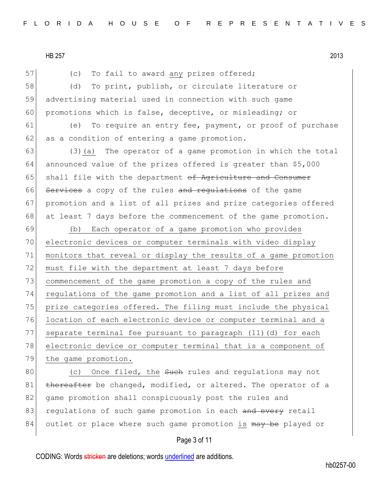57 (c) To fail to award any prizes offered;

58 (d) To print, publish, or circulate literature or 59 advertising material used in connection with such game 60 promotions which is false, deceptive, or misleading; or

61 (e) To require an entry fee, payment, or proof of purchase 62 as a condition of entering a game promotion.

63 (3)(a) The operator of a game promotion in which the total 64 announced value of the prizes offered is greater than \$5,000 65 shall file with the department of Agriculture and Consumer 66 Services a copy of the rules and requiations of the game 67 promotion and a list of all prizes and prize categories offered 68 at least 7 days before the commencement of the game promotion.

 (b) Each operator of a game promotion who provides electronic devices or computer terminals with video display monitors that reveal or display the results of a game promotion 72 must file with the department at least 7 days before commencement of the game promotion a copy of the rules and regulations of the game promotion and a list of all prizes and 75 prize categories offered. The filing must include the physical location of each electronic device or computer terminal and a separate terminal fee pursuant to paragraph (11)(d) for each 78 electronic device or computer terminal that is a component of the game promotion.

80 (c) Once filed, the such rules and regulations may not 81 thereafter be changed, modified, or altered. The operator of a 82 game promotion shall conspicuously post the rules and 83 regulations of such game promotion in each and every retail 84 outlet or place where such game promotion is may be played or

# Page 3 of 11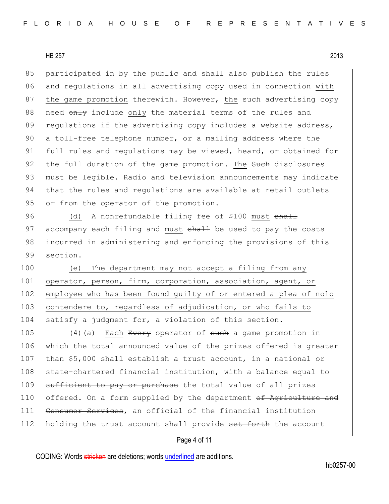85 participated in by the public and shall also publish the rules 86 and regulations in all advertising copy used in connection with 87 the game promotion therewith. However, the such advertising copy 88 need only include only the material terms of the rules and 89 regulations if the advertising copy includes a website address, 90 a toll-free telephone number, or a mailing address where the 91 full rules and regulations may be viewed, heard, or obtained for 92 the full duration of the game promotion. The such disclosures 93 must be legible. Radio and television announcements may indicate 94 that the rules and requlations are available at retail outlets 95 or from the operator of the promotion.

96 (d) A nonrefundable filing fee of \$100 must shall 97 accompany each filing and must shall be used to pay the costs 98 incurred in administering and enforcing the provisions of this 99 section.

100 (e) The department may not accept a filing from any 101 operator, person, firm, corporation, association, agent, or 102 employee who has been found guilty of or entered a plea of nolo 103 contendere to, regardless of adjudication, or who fails to 104 satisfy a judgment for, a violation of this section.

105 (4)(a) Each Every operator of such a game promotion in 106 which the total announced value of the prizes offered is greater 107 than \$5,000 shall establish a trust account, in a national or 108 state-chartered financial institution, with a balance equal to 109 sufficient to pay or purchase the total value of all prizes 110 offered. On a form supplied by the department of Agriculture and 111 Consumer Services, an official of the financial institution 112 holding the trust account shall provide set forth the account

### Page 4 of 11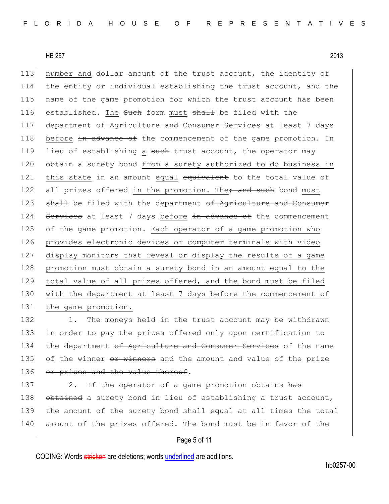113 number and dollar amount of the trust account, the identity of 114 the entity or individual establishing the trust account, and the 115 name of the game promotion for which the trust account has been 116 established. The Such form must shall be filed with the 117 department of Agriculture and Consumer Services at least 7 days 118 before in advance of the commencement of the game promotion. In 119 lieu of establishing a such trust account, the operator may 120 obtain a surety bond from a surety authorized to do business in 121 this state in an amount equal equivalent to the total value of 122 all prizes offered in the promotion. The, and such bond must 123 shall be filed with the department of Agriculture and Consumer 124 Services at least 7 days before in advance of the commencement 125 of the game promotion. Each operator of a game promotion who 126 provides electronic devices or computer terminals with video 127 display monitors that reveal or display the results of a game 128 promotion must obtain a surety bond in an amount equal to the 129 total value of all prizes offered, and the bond must be filed 130 with the department at least 7 days before the commencement of 131 the game promotion.

132 1. The moneys held in the trust account may be withdrawn 133 in order to pay the prizes offered only upon certification to 134 the department of Agriculture and Consumer Services of the name 135 of the winner or winners and the amount and value of the prize 136 or prizes and the value thereof.

137 2. If the operator of a game promotion obtains has 138 obtained a surety bond in lieu of establishing a trust account, 139 the amount of the surety bond shall equal at all times the total 140 amount of the prizes offered. The bond must be in favor of the

### Page 5 of 11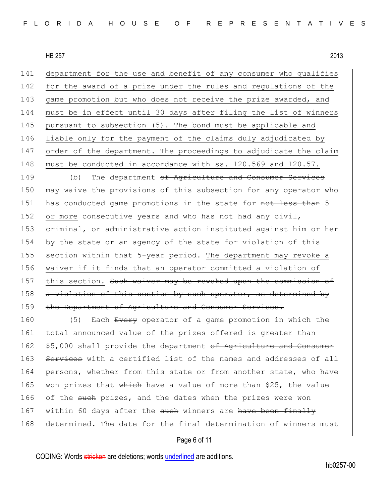department for the use and benefit of any consumer who qualifies 142 for the award of a prize under the rules and regulations of the 143 game promotion but who does not receive the prize awarded, and must be in effect until 30 days after filing the list of winners pursuant to subsection (5). The bond must be applicable and liable only for the payment of the claims duly adjudicated by order of the department. The proceedings to adjudicate the claim 148 must be conducted in accordance with ss. 120.569 and 120.57.

149 (b) The department of Agriculture and Consumer Services 150 may waive the provisions of this subsection for any operator who 151 has conducted game promotions in the state for not less than 5 152 or more consecutive years and who has not had any civil, 153 criminal, or administrative action instituted against him or her 154 by the state or an agency of the state for violation of this 155 section within that 5-year period. The department may revoke a 156 waiver if it finds that an operator committed a violation of 157 this section. Such waiver may be revoked upon the commission of 158 a violation of this section by such operator, as determined by 159 the Department of Agriculture and Consumer Services.

160 (5) Each Every operator of a game promotion in which the 161 total announced value of the prizes offered is greater than 162 \$5,000 shall provide the department of Agriculture and Consumer 163 Services with a certified list of the names and addresses of all 164 persons, whether from this state or from another state, who have 165 won prizes that which have a value of more than \$25, the value 166 of the such prizes, and the dates when the prizes were won 167 within 60 days after the such winners are have been finally 168 determined. The date for the final determination of winners must

#### Page 6 of 11

CODING: Words stricken are deletions; words underlined are additions.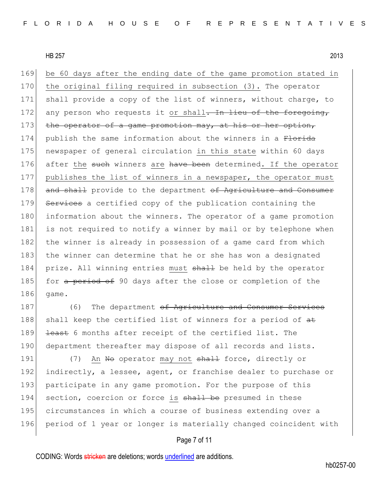169 be 60 days after the ending date of the game promotion stated in 170 the original filing required in subsection (3). The operator 171 shall provide a copy of the list of winners, without charge, to 172 any person who requests it or shall<del>. In lieu of the foregoing,</del> 173 the operator of a game promotion may, at his or her option, 174 publish the same information about the winners in a Florida 175 newspaper of general circulation in this state within 60 days 176 after the such winners are have been determined. If the operator 177 publishes the list of winners in a newspaper, the operator must 178 and shall provide to the department of Agriculture and Consumer 179 Services a certified copy of the publication containing the 180 information about the winners. The operator of a game promotion 181 is not required to notify a winner by mail or by telephone when 182 the winner is already in possession of a game card from which 183 the winner can determine that he or she has won a designated 184 prize. All winning entries must shall be held by the operator 185 for a period of 90 days after the close or completion of the 186 game.

187 (6) The department <del>of Agriculture and Consumer Services</del> 188 shall keep the certified list of winners for a period of  $at$ 189 <del>least</del> 6 months after receipt of the certified list. The 190 department thereafter may dispose of all records and lists.

191 (7) An No operator may not shall force, directly or 192 indirectly, a lessee, agent, or franchise dealer to purchase or 193 participate in any game promotion. For the purpose of this 194 section, coercion or force is shall be presumed in these 195 circumstances in which a course of business extending over a 196 period of 1 year or longer is materially changed coincident with

#### Page 7 of 11

CODING: Words stricken are deletions; words underlined are additions.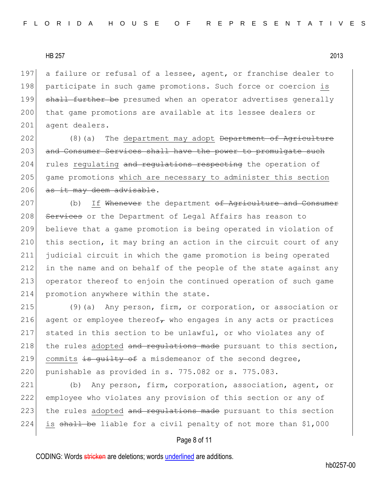197 a failure or refusal of a lessee, agent, or franchise dealer to 198 participate in such game promotions. Such force or coercion is 199 shall further be presumed when an operator advertises generally 200 that game promotions are available at its lessee dealers or 201 agent dealers.

 $202$  (8)(a) The department may adopt <del>Department of Agriculture</del> 203 and Consumer Services shall have the power to promulgate such 204 rules regulating and regulations respecting the operation of 205 game promotions which are necessary to administer this section 206 as it may deem advisable.

207 (b) If Whenever the department of Agriculture and Consumer 208 Services or the Department of Legal Affairs has reason to 209 believe that a game promotion is being operated in violation of 210 this section, it may bring an action in the circuit court of any 211 judicial circuit in which the game promotion is being operated 212 in the name and on behalf of the people of the state against any 213 operator thereof to enjoin the continued operation of such game 214 promotion anywhere within the state.

215 (9)(a) Any person, firm, or corporation, or association or 216 agent or employee thereof $<sub>\tau</sub>$  who engages in any acts or practices</sub> 217 stated in this section to be unlawful, or who violates any of 218 the rules adopted and regulations made pursuant to this section, 219 commits  $\frac{1}{2}$  is guilty of a misdemeanor of the second degree, 220 punishable as provided in s. 775.082 or s. 775.083.

221 (b) Any person, firm, corporation, association, agent, or 222 employee who violates any provision of this section or any of 223 the rules adopted and regulations made pursuant to this section 224 is shall be liable for a civil penalty of not more than  $$1,000$ 

#### Page 8 of 11

CODING: Words stricken are deletions; words underlined are additions.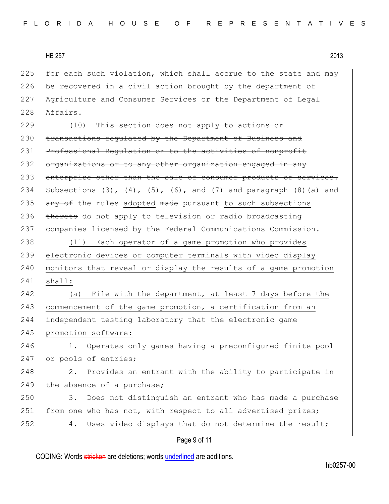225 for each such violation, which shall accrue to the state and may 226 be recovered in a civil action brought by the department  $\theta$ 227 Agriculture and Consumer Services or the Department of Legal 228 Affairs.

229 (10) This section does not apply to actions or 230 transactions regulated by the Department of Business and 231 Professional Requlation or to the activities of nonprofit 232 organizations or to any other organization engaged in any 233 enterprise other than the sale of consumer products or services. 234 Subsections  $(3)$ ,  $(4)$ ,  $(5)$ ,  $(6)$ , and  $(7)$  and paragraph  $(8)$  (a) and 235  $\overline{any}$  of the rules adopted made pursuant to such subsections 236 thereto do not apply to television or radio broadcasting 237 companies licensed by the Federal Communications Commission.

238 (11) Each operator of a game promotion who provides 239 electronic devices or computer terminals with video display 240 monitors that reveal or display the results of a game promotion 241 shall:

242 (a) File with the department, at least 7 days before the 243 commencement of the game promotion, a certification from an 244 independent testing laboratory that the electronic game 245 promotion software: 246 1. Operates only games having a preconfigured finite pool 247 or pools of entries;

248 2. Provides an entrant with the ability to participate in 249 the absence of a purchase;

250 3. Does not distinguish an entrant who has made a purchase 251 from one who has not, with respect to all advertised prizes; 252 4. Uses video displays that do not determine the result;

## Page 9 of 11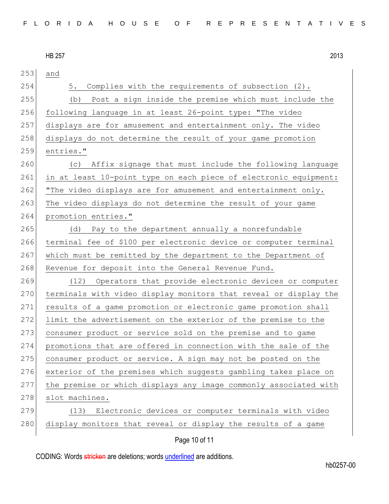| 2013 |
|------|
|      |

253 and 254 5. Complies with the requirements of subsection (2). 255 (b) Post a sign inside the premise which must include the 256 following language in at least 26-point type: "The video 257 displays are for amusement and entertainment only. The video 258 displays do not determine the result of your game promotion 259 entries." 260 (c) Affix signage that must include the following language 261 in at least 10-point type on each piece of electronic equipment: 262 "The video displays are for amusement and entertainment only. 263 The video displays do not determine the result of your game 264 promotion entries." 265 (d) Pay to the department annually a nonrefundable 266 terminal fee of \$100 per electronic device or computer terminal 267 which must be remitted by the department to the Department of 268 Revenue for deposit into the General Revenue Fund. 269 (12) Operators that provide electronic devices or computer 270 terminals with video display monitors that reveal or display the 271 results of a game promotion or electronic game promotion shall 272 limit the advertisement on the exterior of the premise to the 273 consumer product or service sold on the premise and to game 274 promotions that are offered in connection with the sale of the 275 consumer product or service. A sign may not be posted on the 276 exterior of the premises which suggests gambling takes place on 277 the premise or which displays any image commonly associated with 278 slot machines. 279 (13) Electronic devices or computer terminals with video 280 display monitors that reveal or display the results of a game

## Page 10 of 11